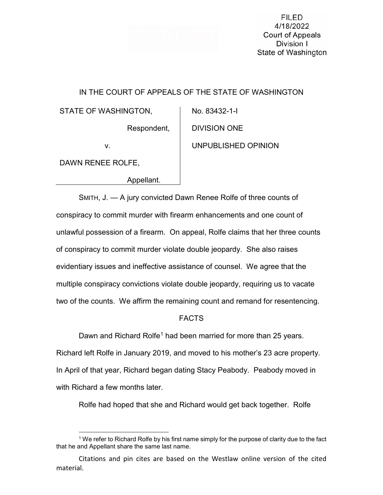

**FILED** 4/18/2022 Court of Appeals Division I State of Washington

## IN THE COURT OF APPEALS OF THE STATE OF WASHINGTON

STATE OF WASHINGTON,

Respondent,

v.

DAWN RENEE ROLFE,

Appellant.

 DIVISION ONE UNPUBLISHED OPINION

No. 83432-1-I

SMITH, J. — A jury convicted Dawn Renee Rolfe of three counts of conspiracy to commit murder with firearm enhancements and one count of unlawful possession of a firearm. On appeal, Rolfe claims that her three counts of conspiracy to commit murder violate double jeopardy. She also raises evidentiary issues and ineffective assistance of counsel. We agree that the multiple conspiracy convictions violate double jeopardy, requiring us to vacate two of the counts. We affirm the remaining count and remand for resentencing.

# FACTS

Dawn and Richard Rolfe<sup>[1](#page-0-0)</sup> had been married for more than 25 years. Richard left Rolfe in January 2019, and moved to his mother's 23 acre property. In April of that year, Richard began dating Stacy Peabody. Peabody moved in with Richard a few months later.

Rolfe had hoped that she and Richard would get back together. Rolfe

<span id="page-0-0"></span> <sup>1</sup> We refer to Richard Rolfe by his first name simply for the purpose of clarity due to the fact that he and Appellant share the same last name.

Citations and pin cites are based on the Westlaw online version of the cited material.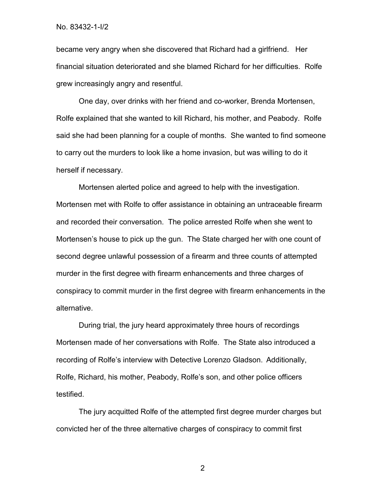became very angry when she discovered that Richard had a girlfriend. Her financial situation deteriorated and she blamed Richard for her difficulties. Rolfe grew increasingly angry and resentful.

One day, over drinks with her friend and co-worker, Brenda Mortensen, Rolfe explained that she wanted to kill Richard, his mother, and Peabody. Rolfe said she had been planning for a couple of months. She wanted to find someone to carry out the murders to look like a home invasion, but was willing to do it herself if necessary.

Mortensen alerted police and agreed to help with the investigation. Mortensen met with Rolfe to offer assistance in obtaining an untraceable firearm and recorded their conversation. The police arrested Rolfe when she went to Mortensen's house to pick up the gun. The State charged her with one count of second degree unlawful possession of a firearm and three counts of attempted murder in the first degree with firearm enhancements and three charges of conspiracy to commit murder in the first degree with firearm enhancements in the alternative.

During trial, the jury heard approximately three hours of recordings Mortensen made of her conversations with Rolfe. The State also introduced a recording of Rolfe's interview with Detective Lorenzo Gladson. Additionally, Rolfe, Richard, his mother, Peabody, Rolfe's son, and other police officers testified.

The jury acquitted Rolfe of the attempted first degree murder charges but convicted her of the three alternative charges of conspiracy to commit first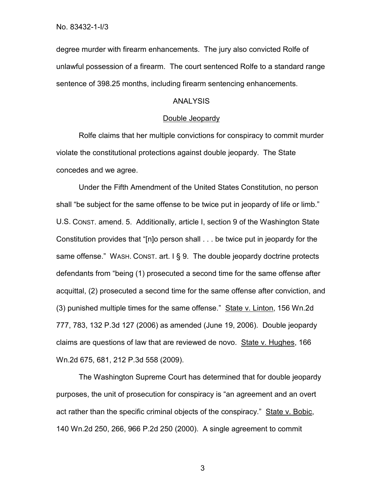degree murder with firearm enhancements. The jury also convicted Rolfe of unlawful possession of a firearm. The court sentenced Rolfe to a standard range sentence of 398.25 months, including firearm sentencing enhancements.

### ANALYSIS

### Double Jeopardy

Rolfe claims that her multiple convictions for conspiracy to commit murder violate the constitutional protections against double jeopardy. The State concedes and we agree.

Under the Fifth Amendment of the United States Constitution, no person shall "be subject for the same offense to be twice put in jeopardy of life or limb." U.S. CONST. amend. 5. Additionally, article I, section 9 of the Washington State Constitution provides that "[n]o person shall . . . be twice put in jeopardy for the same offense." WASH. CONST. art. I § 9. The double jeopardy doctrine protects defendants from "being (1) prosecuted a second time for the same offense after acquittal, (2) prosecuted a second time for the same offense after conviction, and (3) punished multiple times for the same offense." State v. Linton, 156 Wn.2d 777, 783, 132 P.3d 127 (2006) as amended (June 19, 2006). Double jeopardy claims are questions of law that are reviewed de novo. State v. Hughes, 166 Wn.2d 675, 681, 212 P.3d 558 (2009).

The Washington Supreme Court has determined that for double jeopardy purposes, the unit of prosecution for conspiracy is "an agreement and an overt act rather than the specific criminal objects of the conspiracy." State v. Bobic, 140 Wn.2d 250, 266, 966 P.2d 250 (2000). A single agreement to commit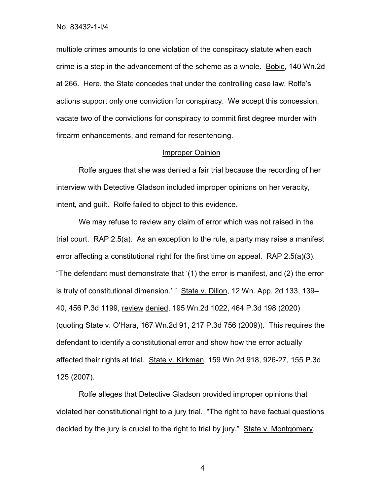multiple crimes amounts to one violation of the conspiracy statute when each crime is a step in the advancement of the scheme as a whole. Bobic, 140 Wn.2d at 266. Here, the State concedes that under the controlling case law, Rolfe's actions support only one conviction for conspiracy. We accept this concession, vacate two of the convictions for conspiracy to commit first degree murder with firearm enhancements, and remand for resentencing.

### Improper Opinion

Rolfe argues that she was denied a fair trial because the recording of her interview with Detective Gladson included improper opinions on her veracity, intent, and guilt. Rolfe failed to object to this evidence.

We may refuse to review any claim of error which was not raised in the trial court. RAP 2.5(a). As an exception to the rule, a party may raise a manifest error affecting a constitutional right for the first time on appeal. RAP 2.5(a)(3). "The defendant must demonstrate that '(1) the error is manifest, and (2) the error is truly of constitutional dimension.' " State v. Dillon, 12 Wn. App. 2d 133, 139-40, 456 P.3d 1199, review denied, 195 Wn.2d 1022, 464 P.3d 198 (2020) (quoting State v. O'Hara, 167 Wn.2d 91, 217 P.3d 756 (2009)). This requires the defendant to identify a constitutional error and show how the error actually affected their rights at trial. State v. Kirkman, 159 Wn.2d 918, 926-27, 155 P.3d 125 (2007).

Rolfe alleges that Detective Gladson provided improper opinions that violated her constitutional right to a jury trial. "The right to have factual questions decided by the jury is crucial to the right to trial by jury." State v. Montgomery,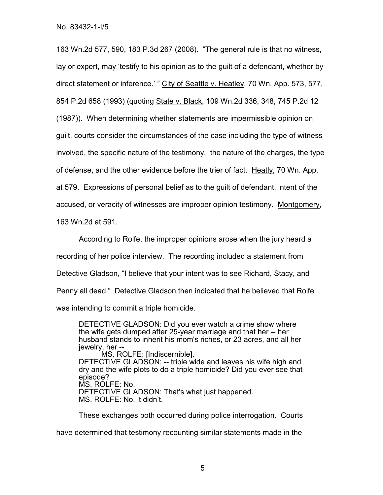163 Wn.2d 577, 590, 183 P.3d 267 (2008). "The general rule is that no witness, lay or expert, may 'testify to his opinion as to the guilt of a defendant, whether by direct statement or inference.' " City of Seattle v. Heatley, 70 Wn. App. 573, 577, 854 P.2d 658 (1993) (quoting State v. Black, 109 Wn.2d 336, 348, 745 P.2d 12 (1987)). When determining whether statements are impermissible opinion on guilt, courts consider the circumstances of the case including the type of witness involved, the specific nature of the testimony, the nature of the charges, the type of defense, and the other evidence before the trier of fact. Heatly, 70 Wn. App. at 579. Expressions of personal belief as to the guilt of defendant, intent of the accused, or veracity of witnesses are improper opinion testimony. Montgomery, 163 Wn.2d at 591.

According to Rolfe, the improper opinions arose when the jury heard a recording of her police interview. The recording included a statement from Detective Gladson, "I believe that your intent was to see Richard, Stacy, and Penny all dead." Detective Gladson then indicated that he believed that Rolfe was intending to commit a triple homicide.

DETECTIVE GLADSON: Did you ever watch a crime show where the wife gets dumped after 25-year marriage and that her -- her husband stands to inherit his mom's riches, or 23 acres, and all her jewelry, her --

MS. ROLFE: [Indiscernible]. DETECTIVE GLADSON: -- triple wide and leaves his wife high and dry and the wife plots to do a triple homicide? Did you ever see that episode? MS. ROLFE: No. DETECTIVE GLADSON: That's what just happened. MS. ROLFE: No, it didn't.

These exchanges both occurred during police interrogation. Courts

have determined that testimony recounting similar statements made in the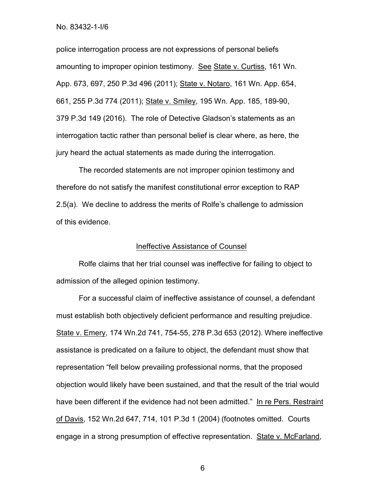police interrogation process are not expressions of personal beliefs amounting to improper opinion testimony. See State v. Curtiss, 161 Wn. App. 673, 697, 250 P.3d 496 (2011); State v. Notaro, 161 Wn. App. 654, 661, 255 P.3d 774 (2011); State v. Smiley, 195 Wn. App. 185, 189-90, 379 P.3d 149 (2016). The role of Detective Gladson's statements as an interrogation tactic rather than personal belief is clear where, as here, the jury heard the actual statements as made during the interrogation.

The recorded statements are not improper opinion testimony and therefore do not satisfy the manifest constitutional error exception to RAP 2.5(a). We decline to address the merits of Rolfe's challenge to admission of this evidence.

#### Ineffective Assistance of Counsel

Rolfe claims that her trial counsel was ineffective for failing to object to admission of the alleged opinion testimony.

For a successful claim of ineffective assistance of counsel, a defendant must establish both objectively deficient performance and resulting prejudice. State v. Emery, 174 Wn.2d 741, 754-55, 278 P.3d 653 (2012). Where ineffective assistance is predicated on a failure to object, the defendant must show that representation "fell below prevailing professional norms, that the proposed objection would likely have been sustained, and that the result of the trial would have been different if the evidence had not been admitted." In re Pers. Restraint of Davis, 152 Wn.2d 647, 714, 101 P.3d 1 (2004) (footnotes omitted. Courts engage in a strong presumption of effective representation. State v. McFarland,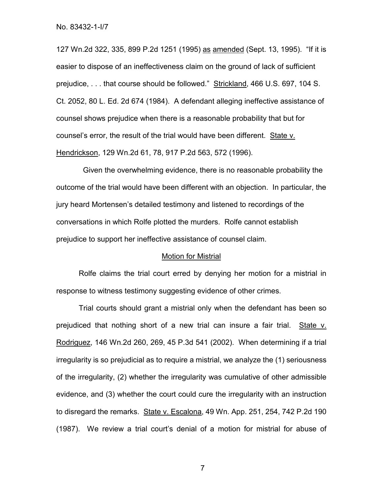127 Wn.2d 322, 335, 899 P.2d 1251 (1995) as amended (Sept. 13, 1995). "If it is easier to dispose of an ineffectiveness claim on the ground of lack of sufficient prejudice, . . . that course should be followed." Strickland, 466 U.S. 697, 104 S. Ct. 2052, 80 L. Ed. 2d 674 (1984). A defendant alleging ineffective assistance of counsel shows prejudice when there is a reasonable probability that but for counsel's error, the result of the trial would have been different. State v. Hendrickson, 129 Wn.2d 61, 78, 917 P.2d 563, 572 (1996).

 Given the overwhelming evidence, there is no reasonable probability the outcome of the trial would have been different with an objection. In particular, the jury heard Mortensen's detailed testimony and listened to recordings of the conversations in which Rolfe plotted the murders. Rolfe cannot establish prejudice to support her ineffective assistance of counsel claim.

#### Motion for Mistrial

Rolfe claims the trial court erred by denying her motion for a mistrial in response to witness testimony suggesting evidence of other crimes.

Trial courts should grant a mistrial only when the defendant has been so prejudiced that nothing short of a new trial can insure a fair trial. State v. Rodriguez, 146 Wn.2d 260, 269, 45 P.3d 541 (2002). When determining if a trial irregularity is so prejudicial as to require a mistrial, we analyze the (1) seriousness of the irregularity, (2) whether the irregularity was cumulative of other admissible evidence, and (3) whether the court could cure the irregularity with an instruction to disregard the remarks. State v. Escalona, 49 Wn. App. 251, 254, 742 P.2d 190 (1987). We review a trial court's denial of a motion for mistrial for abuse of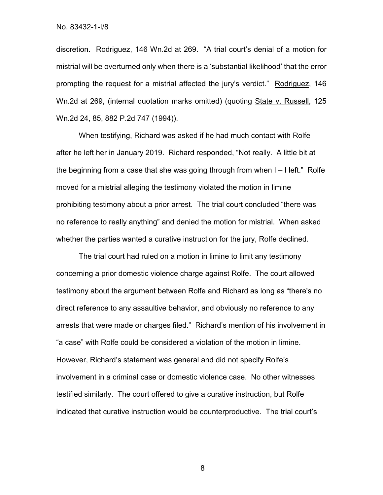discretion. Rodriguez, 146 Wn.2d at 269. "A trial court's denial of a motion for mistrial will be overturned only when there is a 'substantial likelihood' that the error prompting the request for a mistrial affected the jury's verdict." Rodriguez, 146 Wn.2d at 269, (internal quotation marks omitted) (quoting State v. Russell, 125 Wn.2d 24, 85, 882 P.2d 747 (1994)).

When testifying, Richard was asked if he had much contact with Rolfe after he left her in January 2019. Richard responded, "Not really. A little bit at the beginning from a case that she was going through from when I – I left." Rolfe moved for a mistrial alleging the testimony violated the motion in limine prohibiting testimony about a prior arrest. The trial court concluded "there was no reference to really anything" and denied the motion for mistrial. When asked whether the parties wanted a curative instruction for the jury, Rolfe declined.

The trial court had ruled on a motion in limine to limit any testimony concerning a prior domestic violence charge against Rolfe. The court allowed testimony about the argument between Rolfe and Richard as long as "there's no direct reference to any assaultive behavior, and obviously no reference to any arrests that were made or charges filed." Richard's mention of his involvement in "a case" with Rolfe could be considered a violation of the motion in limine. However, Richard's statement was general and did not specify Rolfe's involvement in a criminal case or domestic violence case. No other witnesses testified similarly. The court offered to give a curative instruction, but Rolfe indicated that curative instruction would be counterproductive. The trial court's